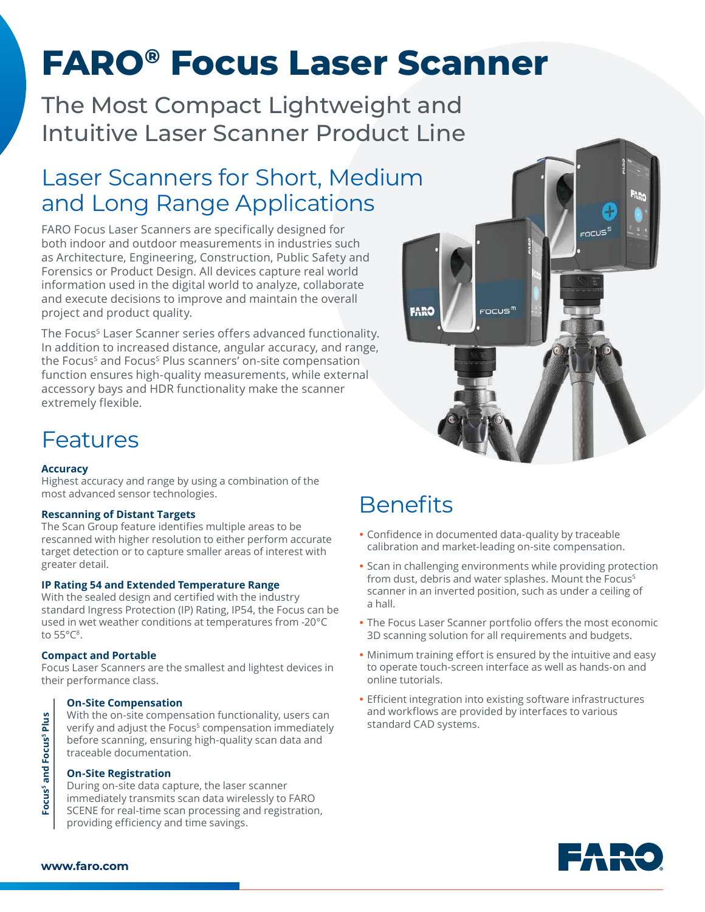# **FARO® Focus Laser Scanner**

The Most Compact Lightweight and Intuitive Laser Scanner Product Line

### Laser Scanners for Short, Medium and Long Range Applications

FARO Focus Laser Scanners are specifically designed for both indoor and outdoor measurements in industries such as Architecture, Engineering, Construction, Public Safety and Forensics or Product Design. All devices capture real world information used in the digital world to analyze, collaborate and execute decisions to improve and maintain the overall project and product quality.

The Focus<sup>s</sup> Laser Scanner series offers advanced functionality. In addition to increased distance, angular accuracy, and range, the Focus<sup>s</sup> and Focus<sup>s</sup> Plus scanners' on-site compensation function ensures high-quality measurements, while external accessory bays and HDR functionality make the scanner extremely flexible.



### Features

#### **Accuracy**

Highest accuracy and range by using a combination of the most advanced sensor technologies.

#### **Rescanning of Distant Targets**

The Scan Group feature identifies multiple areas to be rescanned with higher resolution to either perform accurate target detection or to capture smaller areas of interest with greater detail.

#### **IP Rating 54 and Extended Temperature Range**

With the sealed design and certified with the industry standard Ingress Protection (IP) Rating, IP54, the Focus can be used in wet weather conditions at temperatures from -20°C to 55°C8.

#### **Compact and Portable**

Focus Laser Scanners are the smallest and lightest devices in their performance class.

#### **On-Site Compensation**

With the on-site compensation functionality, users can verify and adjust the Focus<sup>s</sup> compensation immediately before scanning, ensuring high-quality scan data and traceable documentation.

#### **On-Site Registration**

During on-site data capture, the laser scanner immediately transmits scan data wirelessly to FARO SCENE for real-time scan processing and registration, providing efficiency and time savings.

## **Benefits**

- Confidence in documented data-quality by traceable calibration and market-leading on-site compensation.
- Scan in challenging environments while providing protection from dust, debris and water splashes. Mount the Focus<sup>s</sup> scanner in an inverted position, such as under a ceiling of a hall.
- The Focus Laser Scanner portfolio offers the most economic 3D scanning solution for all requirements and budgets.
- Minimum training effort is ensured by the intuitive and easy to operate touch-screen interface as well as hands-on and online tutorials.
- Efficient integration into existing software infrastructures and workflows are provided by interfaces to various standard CAD systems.



Focus<sup>s</sup> and Focus<sup>s</sup> Plus Focus<sup>s</sup> and Focus<sup>s</sup> Plus